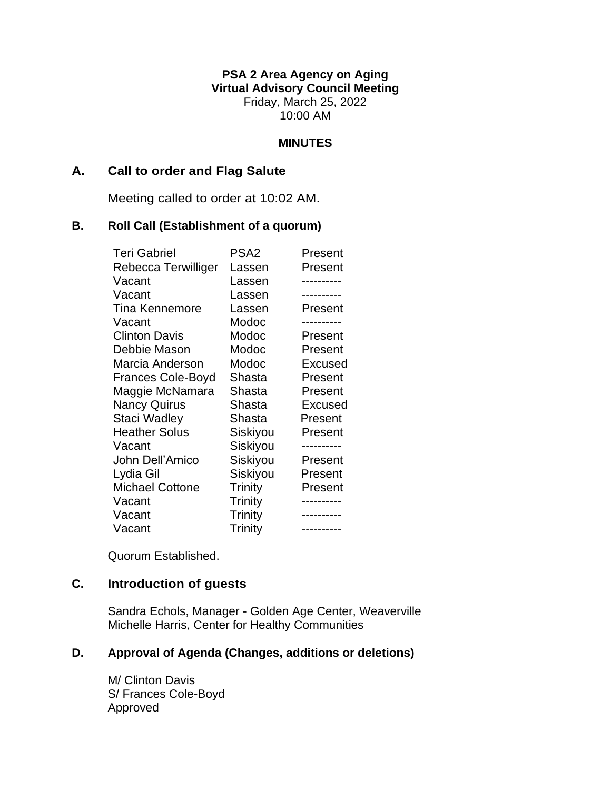**PSA 2 Area Agency on Aging Virtual Advisory Council Meeting** Friday, March 25, 2022 10:00 AM

#### **MINUTES**

### **A. Call to order and Flag Salute**

Meeting called to order at 10:02 AM.

#### **B. Roll Call (Establishment of a quorum)**

| <b>Teri Gabriel</b>      | PSA <sub>2</sub> | Present        |
|--------------------------|------------------|----------------|
| Rebecca Terwilliger      | Lassen           | Present        |
| Vacant                   | Lassen           |                |
| Vacant                   | Lassen           |                |
| <b>Tina Kennemore</b>    | Lassen           | Present        |
| Vacant                   | Modoc            |                |
| <b>Clinton Davis</b>     | Modoc            | Present        |
| Debbie Mason             | Modoc            | Present        |
| Marcia Anderson          | Modoc            | <b>Excused</b> |
| <b>Frances Cole-Boyd</b> | Shasta           | Present        |
| Maggie McNamara          | Shasta           | Present        |
| <b>Nancy Quirus</b>      | Shasta           | <b>Excused</b> |
| Staci Wadley             | Shasta           | Present        |
| <b>Heather Solus</b>     | Siskiyou         | Present        |
| Vacant                   | Siskiyou         |                |
| John Dell'Amico          | Siskiyou         | Present        |
| Lydia Gil                | Siskiyou         | Present        |
| <b>Michael Cottone</b>   | Trinity          | Present        |
| Vacant                   | <b>Trinity</b>   |                |
| Vacant                   | <b>Trinity</b>   |                |
| Vacant                   | Trinity          | ----------     |

Quorum Established.

## **C. Introduction of guests**

Sandra Echols, Manager - Golden Age Center, Weaverville Michelle Harris, Center for Healthy Communities

## **D. Approval of Agenda (Changes, additions or deletions)**

M/ Clinton Davis S/ Frances Cole-Boyd Approved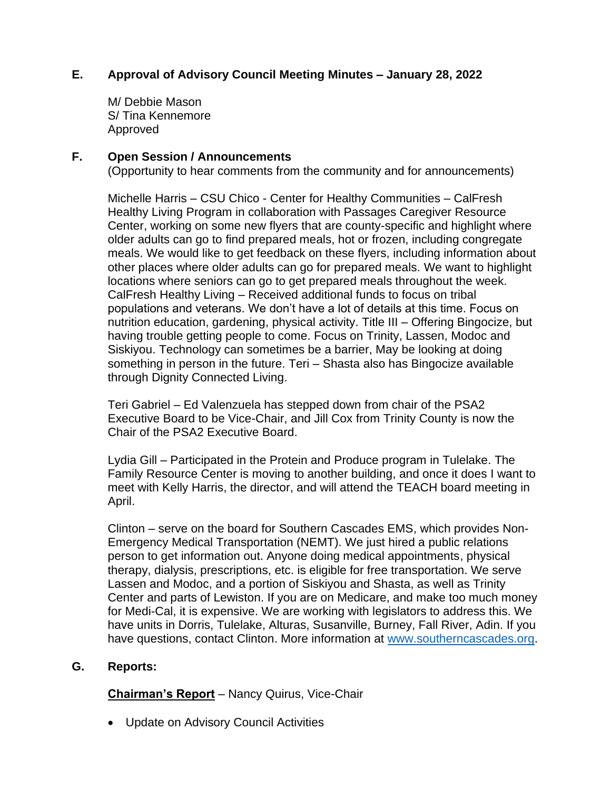## **E. Approval of Advisory Council Meeting Minutes – January 28, 2022**

M/ Debbie Mason S/ Tina Kennemore Approved

### **F. Open Session / Announcements**

(Opportunity to hear comments from the community and for announcements)

Michelle Harris – CSU Chico - Center for Healthy Communities – CalFresh Healthy Living Program in collaboration with Passages Caregiver Resource Center, working on some new flyers that are county-specific and highlight where older adults can go to find prepared meals, hot or frozen, including congregate meals. We would like to get feedback on these flyers, including information about other places where older adults can go for prepared meals. We want to highlight locations where seniors can go to get prepared meals throughout the week. CalFresh Healthy Living – Received additional funds to focus on tribal populations and veterans. We don't have a lot of details at this time. Focus on nutrition education, gardening, physical activity. Title III – Offering Bingocize, but having trouble getting people to come. Focus on Trinity, Lassen, Modoc and Siskiyou. Technology can sometimes be a barrier, May be looking at doing something in person in the future. Teri – Shasta also has Bingocize available through Dignity Connected Living.

Teri Gabriel – Ed Valenzuela has stepped down from chair of the PSA2 Executive Board to be Vice-Chair, and Jill Cox from Trinity County is now the Chair of the PSA2 Executive Board.

Lydia Gill – Participated in the Protein and Produce program in Tulelake. The Family Resource Center is moving to another building, and once it does I want to meet with Kelly Harris, the director, and will attend the TEACH board meeting in April.

Clinton – serve on the board for Southern Cascades EMS, which provides Non-Emergency Medical Transportation (NEMT). We just hired a public relations person to get information out. Anyone doing medical appointments, physical therapy, dialysis, prescriptions, etc. is eligible for free transportation. We serve Lassen and Modoc, and a portion of Siskiyou and Shasta, as well as Trinity Center and parts of Lewiston. If you are on Medicare, and make too much money for Medi-Cal, it is expensive. We are working with legislators to address this. We have units in Dorris, Tulelake, Alturas, Susanville, Burney, Fall River, Adin. If you have questions, contact Clinton. More information at [www.southerncascades.org.](http://www.southerncascades.org/)

### **G. Reports:**

**Chairman's Report** – Nancy Quirus, Vice-Chair

• Update on Advisory Council Activities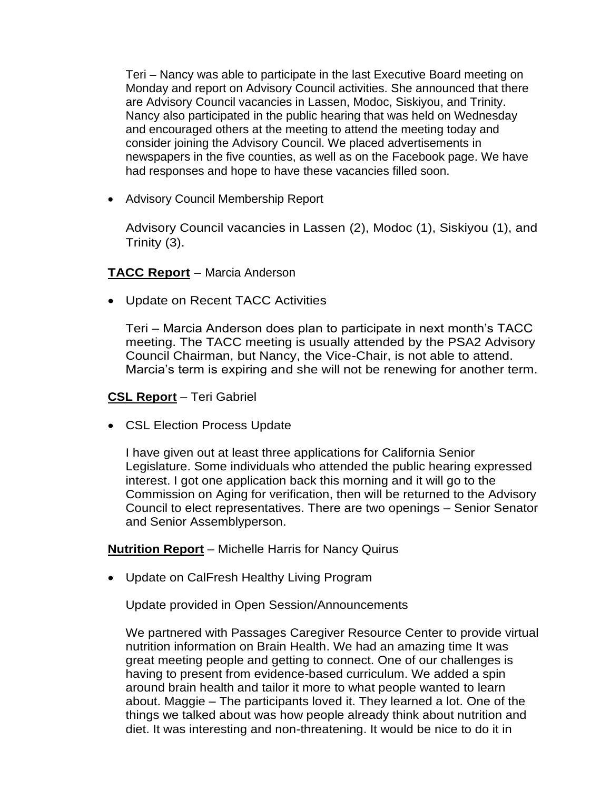Teri – Nancy was able to participate in the last Executive Board meeting on Monday and report on Advisory Council activities. She announced that there are Advisory Council vacancies in Lassen, Modoc, Siskiyou, and Trinity. Nancy also participated in the public hearing that was held on Wednesday and encouraged others at the meeting to attend the meeting today and consider joining the Advisory Council. We placed advertisements in newspapers in the five counties, as well as on the Facebook page. We have had responses and hope to have these vacancies filled soon.

• Advisory Council Membership Report

Advisory Council vacancies in Lassen (2), Modoc (1), Siskiyou (1), and Trinity (3).

### **TACC Report** – Marcia Anderson

• Update on Recent TACC Activities

Teri – Marcia Anderson does plan to participate in next month's TACC meeting. The TACC meeting is usually attended by the PSA2 Advisory Council Chairman, but Nancy, the Vice-Chair, is not able to attend. Marcia's term is expiring and she will not be renewing for another term.

## **CSL Report** – Teri Gabriel

• CSL Election Process Update

I have given out at least three applications for California Senior Legislature. Some individuals who attended the public hearing expressed interest. I got one application back this morning and it will go to the Commission on Aging for verification, then will be returned to the Advisory Council to elect representatives. There are two openings – Senior Senator and Senior Assemblyperson.

### **Nutrition Report** – Michelle Harris for Nancy Quirus

• Update on CalFresh Healthy Living Program

Update provided in Open Session/Announcements

We partnered with Passages Caregiver Resource Center to provide virtual nutrition information on Brain Health. We had an amazing time It was great meeting people and getting to connect. One of our challenges is having to present from evidence-based curriculum. We added a spin around brain health and tailor it more to what people wanted to learn about. Maggie – The participants loved it. They learned a lot. One of the things we talked about was how people already think about nutrition and diet. It was interesting and non-threatening. It would be nice to do it in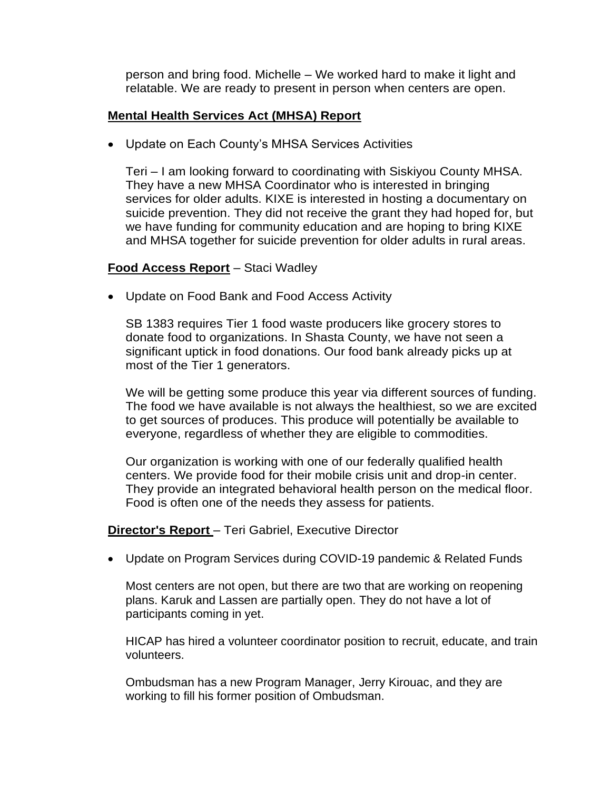person and bring food. Michelle – We worked hard to make it light and relatable. We are ready to present in person when centers are open.

## **Mental Health Services Act (MHSA) Report**

• Update on Each County's MHSA Services Activities

Teri – I am looking forward to coordinating with Siskiyou County MHSA. They have a new MHSA Coordinator who is interested in bringing services for older adults. KIXE is interested in hosting a documentary on suicide prevention. They did not receive the grant they had hoped for, but we have funding for community education and are hoping to bring KIXE and MHSA together for suicide prevention for older adults in rural areas.

## **Food Access Report** – Staci Wadley

• Update on Food Bank and Food Access Activity

SB 1383 requires Tier 1 food waste producers like grocery stores to donate food to organizations. In Shasta County, we have not seen a significant uptick in food donations. Our food bank already picks up at most of the Tier 1 generators.

We will be getting some produce this year via different sources of funding. The food we have available is not always the healthiest, so we are excited to get sources of produces. This produce will potentially be available to everyone, regardless of whether they are eligible to commodities.

Our organization is working with one of our federally qualified health centers. We provide food for their mobile crisis unit and drop-in center. They provide an integrated behavioral health person on the medical floor. Food is often one of the needs they assess for patients.

**Director's Report** – Teri Gabriel, Executive Director

• Update on Program Services during COVID-19 pandemic & Related Funds

Most centers are not open, but there are two that are working on reopening plans. Karuk and Lassen are partially open. They do not have a lot of participants coming in yet.

HICAP has hired a volunteer coordinator position to recruit, educate, and train volunteers.

Ombudsman has a new Program Manager, Jerry Kirouac, and they are working to fill his former position of Ombudsman.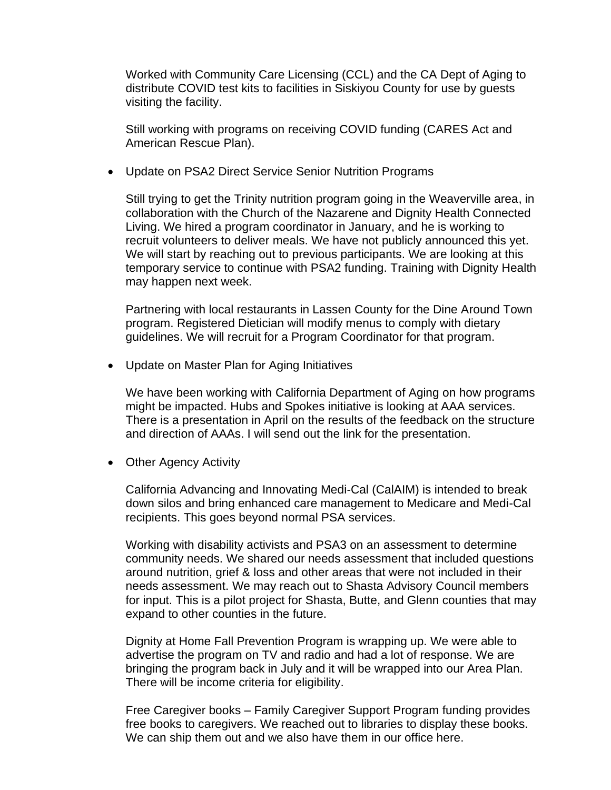Worked with Community Care Licensing (CCL) and the CA Dept of Aging to distribute COVID test kits to facilities in Siskiyou County for use by guests visiting the facility.

Still working with programs on receiving COVID funding (CARES Act and American Rescue Plan).

• Update on PSA2 Direct Service Senior Nutrition Programs

Still trying to get the Trinity nutrition program going in the Weaverville area, in collaboration with the Church of the Nazarene and Dignity Health Connected Living. We hired a program coordinator in January, and he is working to recruit volunteers to deliver meals. We have not publicly announced this yet. We will start by reaching out to previous participants. We are looking at this temporary service to continue with PSA2 funding. Training with Dignity Health may happen next week.

Partnering with local restaurants in Lassen County for the Dine Around Town program. Registered Dietician will modify menus to comply with dietary guidelines. We will recruit for a Program Coordinator for that program.

• Update on Master Plan for Aging Initiatives

We have been working with California Department of Aging on how programs might be impacted. Hubs and Spokes initiative is looking at AAA services. There is a presentation in April on the results of the feedback on the structure and direction of AAAs. I will send out the link for the presentation.

• Other Agency Activity

California Advancing and Innovating Medi-Cal (CalAIM) is intended to break down silos and bring enhanced care management to Medicare and Medi-Cal recipients. This goes beyond normal PSA services.

Working with disability activists and PSA3 on an assessment to determine community needs. We shared our needs assessment that included questions around nutrition, grief & loss and other areas that were not included in their needs assessment. We may reach out to Shasta Advisory Council members for input. This is a pilot project for Shasta, Butte, and Glenn counties that may expand to other counties in the future.

Dignity at Home Fall Prevention Program is wrapping up. We were able to advertise the program on TV and radio and had a lot of response. We are bringing the program back in July and it will be wrapped into our Area Plan. There will be income criteria for eligibility.

Free Caregiver books – Family Caregiver Support Program funding provides free books to caregivers. We reached out to libraries to display these books. We can ship them out and we also have them in our office here.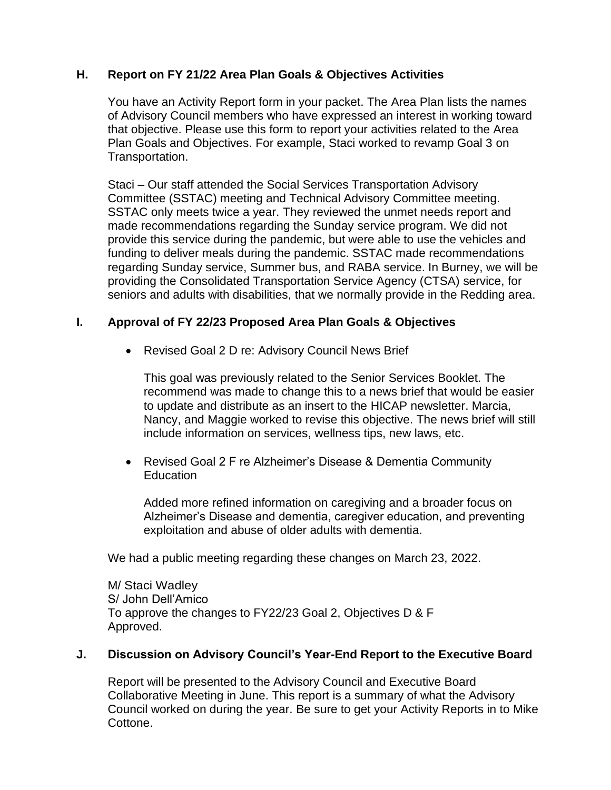## **H. Report on FY 21/22 Area Plan Goals & Objectives Activities**

You have an Activity Report form in your packet. The Area Plan lists the names of Advisory Council members who have expressed an interest in working toward that objective. Please use this form to report your activities related to the Area Plan Goals and Objectives. For example, Staci worked to revamp Goal 3 on Transportation.

Staci – Our staff attended the Social Services Transportation Advisory Committee (SSTAC) meeting and Technical Advisory Committee meeting. SSTAC only meets twice a year. They reviewed the unmet needs report and made recommendations regarding the Sunday service program. We did not provide this service during the pandemic, but were able to use the vehicles and funding to deliver meals during the pandemic. SSTAC made recommendations regarding Sunday service, Summer bus, and RABA service. In Burney, we will be providing the Consolidated Transportation Service Agency (CTSA) service, for seniors and adults with disabilities, that we normally provide in the Redding area.

## **I. Approval of FY 22/23 Proposed Area Plan Goals & Objectives**

• Revised Goal 2 D re: Advisory Council News Brief

This goal was previously related to the Senior Services Booklet. The recommend was made to change this to a news brief that would be easier to update and distribute as an insert to the HICAP newsletter. Marcia, Nancy, and Maggie worked to revise this objective. The news brief will still include information on services, wellness tips, new laws, etc.

• Revised Goal 2 F re Alzheimer's Disease & Dementia Community **Education** 

Added more refined information on caregiving and a broader focus on Alzheimer's Disease and dementia, caregiver education, and preventing exploitation and abuse of older adults with dementia.

We had a public meeting regarding these changes on March 23, 2022.

M/ Staci Wadley S/ John Dell'Amico To approve the changes to FY22/23 Goal 2, Objectives D & F Approved.

### **J. Discussion on Advisory Council's Year-End Report to the Executive Board**

Report will be presented to the Advisory Council and Executive Board Collaborative Meeting in June. This report is a summary of what the Advisory Council worked on during the year. Be sure to get your Activity Reports in to Mike Cottone.